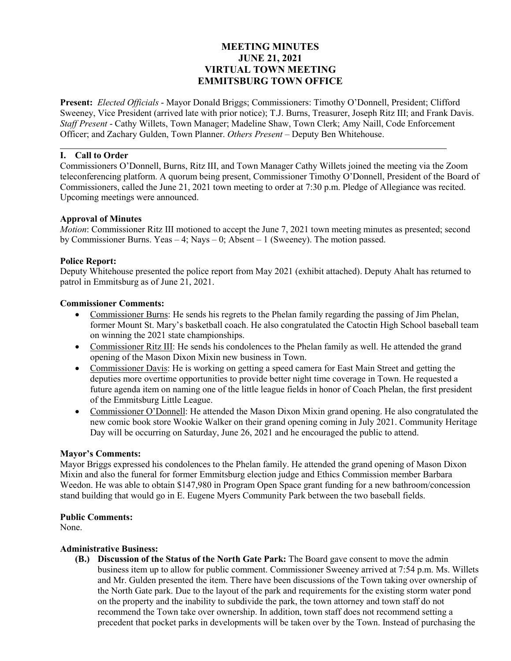## **MEETING MINUTES JUNE 21, 2021 VIRTUAL TOWN MEETING EMMITSBURG TOWN OFFICE**

**Present:** *Elected Officials* - Mayor Donald Briggs; Commissioners: Timothy O'Donnell, President; Clifford Sweeney, Vice President (arrived late with prior notice); T.J. Burns, Treasurer, Joseph Ritz III; and Frank Davis. *Staff Present* - Cathy Willets, Town Manager; Madeline Shaw, Town Clerk; Amy Naill, Code Enforcement Officer; and Zachary Gulden, Town Planner. *Others Present* – Deputy Ben Whitehouse.

### **I. Call to Order**

Commissioners O'Donnell, Burns, Ritz III, and Town Manager Cathy Willets joined the meeting via the Zoom teleconferencing platform. A quorum being present, Commissioner Timothy O'Donnell, President of the Board of Commissioners, called the June 21, 2021 town meeting to order at 7:30 p.m. Pledge of Allegiance was recited. Upcoming meetings were announced.

#### **Approval of Minutes**

*Motion*: Commissioner Ritz III motioned to accept the June 7, 2021 town meeting minutes as presented; second by Commissioner Burns. Yeas – 4; Nays – 0; Absent – 1 (Sweeney). The motion passed.

### **Police Report:**

Deputy Whitehouse presented the police report from May 2021 (exhibit attached). Deputy Ahalt has returned to patrol in Emmitsburg as of June 21, 2021.

#### **Commissioner Comments:**

- Commissioner Burns: He sends his regrets to the Phelan family regarding the passing of Jim Phelan, former Mount St. Mary's basketball coach. He also congratulated the Catoctin High School baseball team on winning the 2021 state championships.
- Commissioner Ritz III: He sends his condolences to the Phelan family as well. He attended the grand opening of the Mason Dixon Mixin new business in Town.
- Commissioner Davis: He is working on getting a speed camera for East Main Street and getting the deputies more overtime opportunities to provide better night time coverage in Town. He requested a future agenda item on naming one of the little league fields in honor of Coach Phelan, the first president of the Emmitsburg Little League.
- Commissioner O'Donnell: He attended the Mason Dixon Mixin grand opening. He also congratulated the new comic book store Wookie Walker on their grand opening coming in July 2021. Community Heritage Day will be occurring on Saturday, June 26, 2021 and he encouraged the public to attend.

#### **Mayor's Comments:**

Mayor Briggs expressed his condolences to the Phelan family. He attended the grand opening of Mason Dixon Mixin and also the funeral for former Emmitsburg election judge and Ethics Commission member Barbara Weedon. He was able to obtain \$147,980 in Program Open Space grant funding for a new bathroom/concession stand building that would go in E. Eugene Myers Community Park between the two baseball fields.

#### **Public Comments:**

None.

#### **Administrative Business:**

**(B.) Discussion of the Status of the North Gate Park:** The Board gave consent to move the admin business item up to allow for public comment. Commissioner Sweeney arrived at 7:54 p.m. Ms. Willets and Mr. Gulden presented the item. There have been discussions of the Town taking over ownership of the North Gate park. Due to the layout of the park and requirements for the existing storm water pond on the property and the inability to subdivide the park, the town attorney and town staff do not recommend the Town take over ownership. In addition, town staff does not recommend setting a precedent that pocket parks in developments will be taken over by the Town. Instead of purchasing the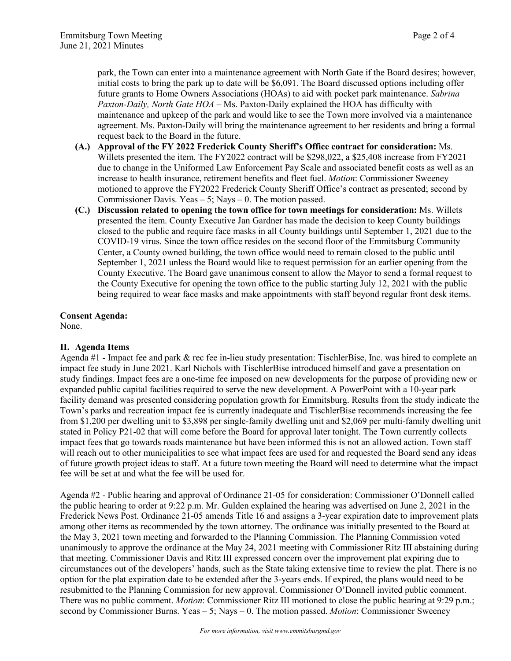park, the Town can enter into a maintenance agreement with North Gate if the Board desires; however, initial costs to bring the park up to date will be \$6,091. The Board discussed options including offer future grants to Home Owners Associations (HOAs) to aid with pocket park maintenance. *Sabrina Paxton-Daily, North Gate HOA* – Ms. Paxton-Daily explained the HOA has difficulty with maintenance and upkeep of the park and would like to see the Town more involved via a maintenance agreement. Ms. Paxton-Daily will bring the maintenance agreement to her residents and bring a formal request back to the Board in the future.

- **(A.) Approval of the FY 2022 Frederick County Sheriff's Office contract for consideration:** Ms. Willets presented the item. The FY2022 contract will be \$298,022, a \$25,408 increase from FY2021 due to change in the Uniformed Law Enforcement Pay Scale and associated benefit costs as well as an increase to health insurance, retirement benefits and fleet fuel. *Motion*: Commissioner Sweeney motioned to approve the FY2022 Frederick County Sheriff Office's contract as presented; second by Commissioner Davis. Yeas – 5; Nays – 0. The motion passed.
- **(C.) Discussion related to opening the town office for town meetings for consideration:** Ms. Willets presented the item. County Executive Jan Gardner has made the decision to keep County buildings closed to the public and require face masks in all County buildings until September 1, 2021 due to the COVID-19 virus. Since the town office resides on the second floor of the Emmitsburg Community Center, a County owned building, the town office would need to remain closed to the public until September 1, 2021 unless the Board would like to request permission for an earlier opening from the County Executive. The Board gave unanimous consent to allow the Mayor to send a formal request to the County Executive for opening the town office to the public starting July 12, 2021 with the public being required to wear face masks and make appointments with staff beyond regular front desk items.

#### **Consent Agenda:**

None.

#### **II. Agenda Items**

Agenda #1 - Impact fee and park & rec fee in-lieu study presentation: TischlerBise, Inc. was hired to complete an impact fee study in June 2021. Karl Nichols with TischlerBise introduced himself and gave a presentation on study findings. Impact fees are a one-time fee imposed on new developments for the purpose of providing new or expanded public capital facilities required to serve the new development. A PowerPoint with a 10-year park facility demand was presented considering population growth for Emmitsburg. Results from the study indicate the Town's parks and recreation impact fee is currently inadequate and TischlerBise recommends increasing the fee from \$1,200 per dwelling unit to \$3,898 per single-family dwelling unit and \$2,069 per multi-family dwelling unit stated in Policy P21-02 that will come before the Board for approval later tonight. The Town currently collects impact fees that go towards roads maintenance but have been informed this is not an allowed action. Town staff will reach out to other municipalities to see what impact fees are used for and requested the Board send any ideas of future growth project ideas to staff. At a future town meeting the Board will need to determine what the impact fee will be set at and what the fee will be used for.

Agenda #2 - Public hearing and approval of Ordinance 21-05 for consideration: Commissioner O'Donnell called the public hearing to order at 9:22 p.m. Mr. Gulden explained the hearing was advertised on June 2, 2021 in the Frederick News Post. Ordinance 21-05 amends Title 16 and assigns a 3-year expiration date to improvement plats among other items as recommended by the town attorney. The ordinance was initially presented to the Board at the May 3, 2021 town meeting and forwarded to the Planning Commission. The Planning Commission voted unanimously to approve the ordinance at the May 24, 2021 meeting with Commissioner Ritz III abstaining during that meeting. Commissioner Davis and Ritz III expressed concern over the improvement plat expiring due to circumstances out of the developers' hands, such as the State taking extensive time to review the plat. There is no option for the plat expiration date to be extended after the 3-years ends. If expired, the plans would need to be resubmitted to the Planning Commission for new approval. Commissioner O'Donnell invited public comment. There was no public comment. *Motion*: Commissioner Ritz III motioned to close the public hearing at 9:29 p.m.; second by Commissioner Burns. Yeas – 5; Nays – 0. The motion passed. *Motion*: Commissioner Sweeney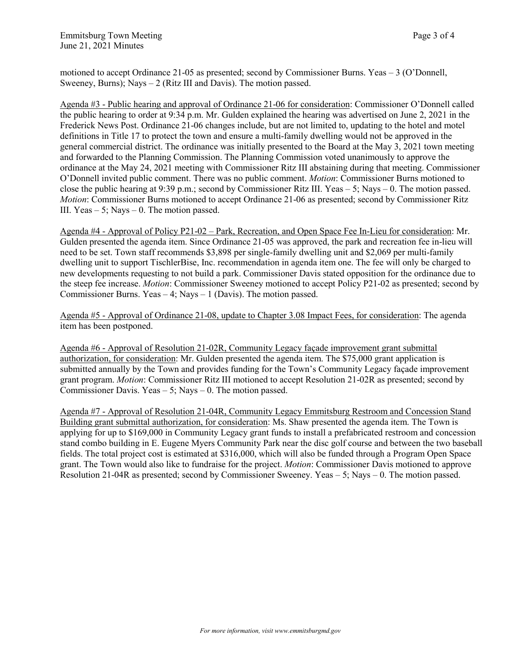motioned to accept Ordinance 21-05 as presented; second by Commissioner Burns. Yeas – 3 (O'Donnell, Sweeney, Burns); Nays  $-2$  (Ritz III and Davis). The motion passed.

Agenda #3 - Public hearing and approval of Ordinance 21-06 for consideration: Commissioner O'Donnell called the public hearing to order at 9:34 p.m. Mr. Gulden explained the hearing was advertised on June 2, 2021 in the Frederick News Post. Ordinance 21-06 changes include, but are not limited to, updating to the hotel and motel definitions in Title 17 to protect the town and ensure a multi-family dwelling would not be approved in the general commercial district. The ordinance was initially presented to the Board at the May 3, 2021 town meeting and forwarded to the Planning Commission. The Planning Commission voted unanimously to approve the ordinance at the May 24, 2021 meeting with Commissioner Ritz III abstaining during that meeting. Commissioner O'Donnell invited public comment. There was no public comment. *Motion*: Commissioner Burns motioned to close the public hearing at 9:39 p.m.; second by Commissioner Ritz III. Yeas – 5; Nays – 0. The motion passed. *Motion*: Commissioner Burns motioned to accept Ordinance 21-06 as presented; second by Commissioner Ritz III. Yeas  $-5$ ; Nays  $-0$ . The motion passed.

Agenda #4 - Approval of Policy P21-02 – Park, Recreation, and Open Space Fee In-Lieu for consideration: Mr. Gulden presented the agenda item. Since Ordinance 21-05 was approved, the park and recreation fee in-lieu will need to be set. Town staff recommends \$3,898 per single-family dwelling unit and \$2,069 per multi-family dwelling unit to support TischlerBise, Inc. recommendation in agenda item one. The fee will only be charged to new developments requesting to not build a park. Commissioner Davis stated opposition for the ordinance due to the steep fee increase. *Motion*: Commissioner Sweeney motioned to accept Policy P21-02 as presented; second by Commissioner Burns. Yeas  $-4$ ; Nays  $-1$  (Davis). The motion passed.

Agenda #5 - Approval of Ordinance 21-08, update to Chapter 3.08 Impact Fees, for consideration: The agenda item has been postponed.

Agenda #6 - Approval of Resolution 21-02R, Community Legacy façade improvement grant submittal authorization, for consideration: Mr. Gulden presented the agenda item. The \$75,000 grant application is submitted annually by the Town and provides funding for the Town's Community Legacy façade improvement grant program. *Motion*: Commissioner Ritz III motioned to accept Resolution 21-02R as presented; second by Commissioner Davis. Yeas – 5; Nays – 0. The motion passed.

Agenda #7 - Approval of Resolution 21-04R, Community Legacy Emmitsburg Restroom and Concession Stand Building grant submittal authorization, for consideration: Ms. Shaw presented the agenda item. The Town is applying for up to \$169,000 in Community Legacy grant funds to install a prefabricated restroom and concession stand combo building in E. Eugene Myers Community Park near the disc golf course and between the two baseball fields. The total project cost is estimated at \$316,000, which will also be funded through a Program Open Space grant. The Town would also like to fundraise for the project. *Motion*: Commissioner Davis motioned to approve Resolution 21-04R as presented; second by Commissioner Sweeney. Yeas – 5; Nays – 0. The motion passed.